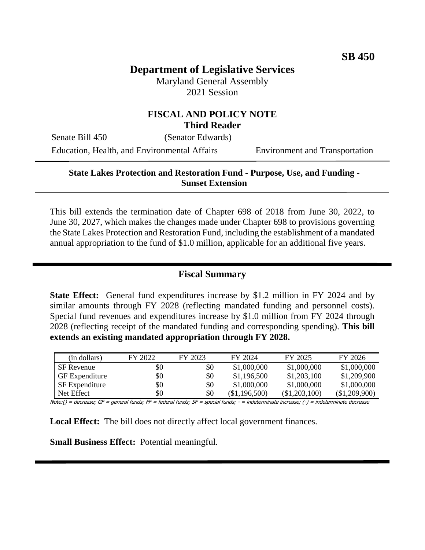# **Department of Legislative Services**

Maryland General Assembly 2021 Session

#### **FISCAL AND POLICY NOTE Third Reader**

Senate Bill 450 (Senator Edwards) Education, Health, and Environmental Affairs Environment and Transportation

#### **State Lakes Protection and Restoration Fund - Purpose, Use, and Funding - Sunset Extension**

This bill extends the termination date of Chapter 698 of 2018 from June 30, 2022, to June 30, 2027, which makes the changes made under Chapter 698 to provisions governing the State Lakes Protection and Restoration Fund, including the establishment of a mandated annual appropriation to the fund of \$1.0 million, applicable for an additional five years.

## **Fiscal Summary**

**State Effect:** General fund expenditures increase by \$1.2 million in FY 2024 and by similar amounts through FY 2028 (reflecting mandated funding and personnel costs). Special fund revenues and expenditures increase by \$1.0 million from FY 2024 through 2028 (reflecting receipt of the mandated funding and corresponding spending). **This bill extends an existing mandated appropriation through FY 2028.**

| (in dollars)          | FY 2022 | FY 2023 | FY 2024       | FY 2025       | FY 2026       |
|-----------------------|---------|---------|---------------|---------------|---------------|
| <b>SF</b> Revenue     | \$0     | \$0     | \$1,000,000   | \$1,000,000   | \$1,000,000   |
| <b>GF</b> Expenditure | \$0     | \$0     | \$1,196,500   | \$1,203,100   | \$1,209,900   |
| SF Expenditure        | \$0     | \$0     | \$1,000,000   | \$1,000,000   | \$1,000,000   |
| Net Effect            | \$0     | \$0     | (\$1,196,500) | (\$1,203,100) | (\$1,209,900) |

Note:() = decrease; GF = general funds; FF = federal funds; SF = special funds; - = indeterminate increase; (-) = indeterminate decrease

**Local Effect:** The bill does not directly affect local government finances.

**Small Business Effect:** Potential meaningful.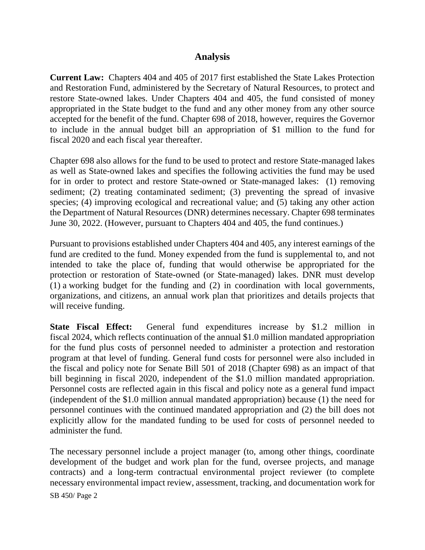### **Analysis**

**Current Law:** Chapters 404 and 405 of 2017 first established the State Lakes Protection and Restoration Fund, administered by the Secretary of Natural Resources, to protect and restore State-owned lakes. Under Chapters 404 and 405, the fund consisted of money appropriated in the State budget to the fund and any other money from any other source accepted for the benefit of the fund. Chapter 698 of 2018, however, requires the Governor to include in the annual budget bill an appropriation of \$1 million to the fund for fiscal 2020 and each fiscal year thereafter.

Chapter 698 also allows for the fund to be used to protect and restore State-managed lakes as well as State-owned lakes and specifies the following activities the fund may be used for in order to protect and restore State-owned or State-managed lakes: (1) removing sediment; (2) treating contaminated sediment; (3) preventing the spread of invasive species; (4) improving ecological and recreational value; and (5) taking any other action the Department of Natural Resources (DNR) determines necessary. Chapter 698 terminates June 30, 2022. (However, pursuant to Chapters 404 and 405, the fund continues.)

Pursuant to provisions established under Chapters 404 and 405, any interest earnings of the fund are credited to the fund. Money expended from the fund is supplemental to, and not intended to take the place of, funding that would otherwise be appropriated for the protection or restoration of State-owned (or State-managed) lakes. DNR must develop (1) a working budget for the funding and (2) in coordination with local governments, organizations, and citizens, an annual work plan that prioritizes and details projects that will receive funding.

**State Fiscal Effect:** General fund expenditures increase by \$1.2 million in fiscal 2024, which reflects continuation of the annual \$1.0 million mandated appropriation for the fund plus costs of personnel needed to administer a protection and restoration program at that level of funding. General fund costs for personnel were also included in the fiscal and policy note for Senate Bill 501 of 2018 (Chapter 698) as an impact of that bill beginning in fiscal 2020, independent of the \$1.0 million mandated appropriation. Personnel costs are reflected again in this fiscal and policy note as a general fund impact (independent of the \$1.0 million annual mandated appropriation) because (1) the need for personnel continues with the continued mandated appropriation and (2) the bill does not explicitly allow for the mandated funding to be used for costs of personnel needed to administer the fund.

The necessary personnel include a project manager (to, among other things, coordinate development of the budget and work plan for the fund, oversee projects, and manage contracts) and a long-term contractual environmental project reviewer (to complete necessary environmental impact review, assessment, tracking, and documentation work for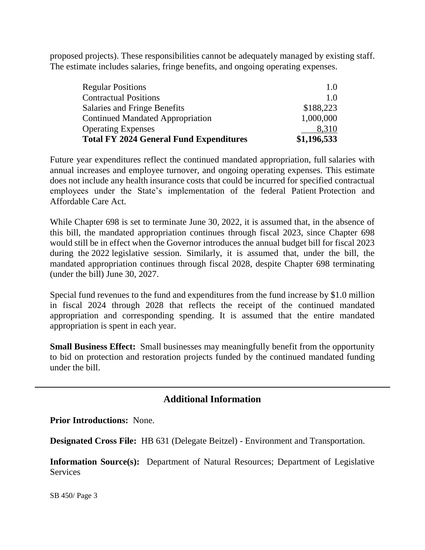proposed projects). These responsibilities cannot be adequately managed by existing staff. The estimate includes salaries, fringe benefits, and ongoing operating expenses.

| <b>Total FY 2024 General Fund Expenditures</b> | \$1,196,533 |
|------------------------------------------------|-------------|
| <b>Operating Expenses</b>                      | 8,310       |
| <b>Continued Mandated Appropriation</b>        | 1,000,000   |
| Salaries and Fringe Benefits                   | \$188,223   |
| <b>Contractual Positions</b>                   | 1.0         |
| <b>Regular Positions</b>                       | 1.0         |
|                                                |             |

Future year expenditures reflect the continued mandated appropriation, full salaries with annual increases and employee turnover, and ongoing operating expenses. This estimate does not include any health insurance costs that could be incurred for specified contractual employees under the State's implementation of the federal Patient Protection and Affordable Care Act.

While Chapter 698 is set to terminate June 30, 2022, it is assumed that, in the absence of this bill, the mandated appropriation continues through fiscal 2023, since Chapter 698 would still be in effect when the Governor introduces the annual budget bill for fiscal 2023 during the 2022 legislative session. Similarly, it is assumed that, under the bill, the mandated appropriation continues through fiscal 2028, despite Chapter 698 terminating (under the bill) June 30, 2027.

Special fund revenues to the fund and expenditures from the fund increase by \$1.0 million in fiscal 2024 through 2028 that reflects the receipt of the continued mandated appropriation and corresponding spending. It is assumed that the entire mandated appropriation is spent in each year.

**Small Business Effect:** Small businesses may meaningfully benefit from the opportunity to bid on protection and restoration projects funded by the continued mandated funding under the bill.

## **Additional Information**

**Prior Introductions:** None.

**Designated Cross File:** HB 631 (Delegate Beitzel) - Environment and Transportation.

**Information Source(s):** Department of Natural Resources; Department of Legislative **Services**